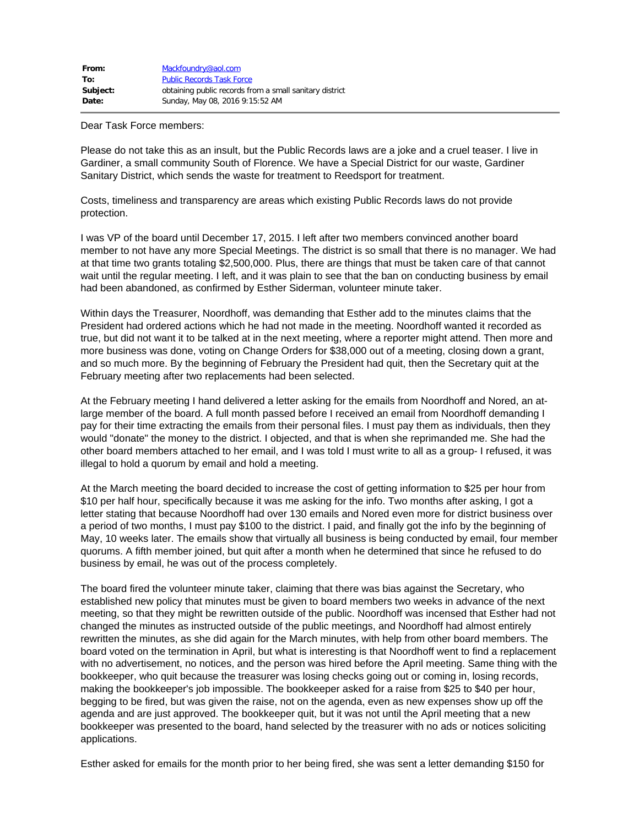| From:    | Mackfoundry@aol.com                                     |
|----------|---------------------------------------------------------|
| To:      | <b>Public Records Task Force</b>                        |
| Subject: | obtaining public records from a small sanitary district |
| Date:    | Sunday, May 08, 2016 9:15:52 AM                         |

Dear Task Force members:

Please do not take this as an insult, but the Public Records laws are a joke and a cruel teaser. I live in Gardiner, a small community South of Florence. We have a Special District for our waste, Gardiner Sanitary District, which sends the waste for treatment to Reedsport for treatment.

Costs, timeliness and transparency are areas which existing Public Records laws do not provide protection.

I was VP of the board until December 17, 2015. I left after two members convinced another board member to not have any more Special Meetings. The district is so small that there is no manager. We had at that time two grants totaling \$2,500,000. Plus, there are things that must be taken care of that cannot wait until the regular meeting. I left, and it was plain to see that the ban on conducting business by email had been abandoned, as confirmed by Esther Siderman, volunteer minute taker.

Within days the Treasurer, Noordhoff, was demanding that Esther add to the minutes claims that the President had ordered actions which he had not made in the meeting. Noordhoff wanted it recorded as true, but did not want it to be talked at in the next meeting, where a reporter might attend. Then more and more business was done, voting on Change Orders for \$38,000 out of a meeting, closing down a grant, and so much more. By the beginning of February the President had quit, then the Secretary quit at the February meeting after two replacements had been selected.

At the February meeting I hand delivered a letter asking for the emails from Noordhoff and Nored, an atlarge member of the board. A full month passed before I received an email from Noordhoff demanding I pay for their time extracting the emails from their personal files. I must pay them as individuals, then they would "donate" the money to the district. I objected, and that is when she reprimanded me. She had the other board members attached to her email, and I was told I must write to all as a group- I refused, it was illegal to hold a quorum by email and hold a meeting.

At the March meeting the board decided to increase the cost of getting information to \$25 per hour from \$10 per half hour, specifically because it was me asking for the info. Two months after asking, I got a letter stating that because Noordhoff had over 130 emails and Nored even more for district business over a period of two months, I must pay \$100 to the district. I paid, and finally got the info by the beginning of May, 10 weeks later. The emails show that virtually all business is being conducted by email, four member quorums. A fifth member joined, but quit after a month when he determined that since he refused to do business by email, he was out of the process completely.

The board fired the volunteer minute taker, claiming that there was bias against the Secretary, who established new policy that minutes must be given to board members two weeks in advance of the next meeting, so that they might be rewritten outside of the public. Noordhoff was incensed that Esther had not changed the minutes as instructed outside of the public meetings, and Noordhoff had almost entirely rewritten the minutes, as she did again for the March minutes, with help from other board members. The board voted on the termination in April, but what is interesting is that Noordhoff went to find a replacement with no advertisement, no notices, and the person was hired before the April meeting. Same thing with the bookkeeper, who quit because the treasurer was losing checks going out or coming in, losing records, making the bookkeeper's job impossible. The bookkeeper asked for a raise from \$25 to \$40 per hour, begging to be fired, but was given the raise, not on the agenda, even as new expenses show up off the agenda and are just approved. The bookkeeper quit, but it was not until the April meeting that a new bookkeeper was presented to the board, hand selected by the treasurer with no ads or notices soliciting applications.

Esther asked for emails for the month prior to her being fired, she was sent a letter demanding \$150 for